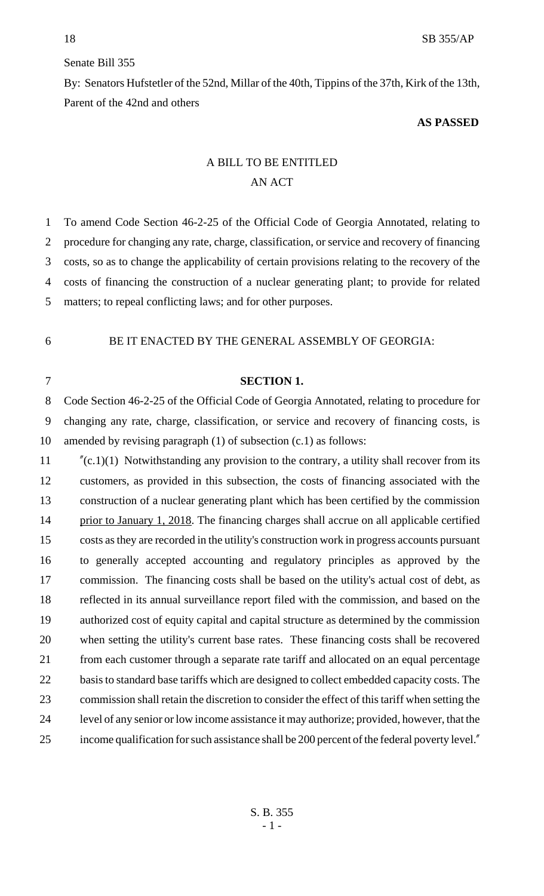## Senate Bill 355

By: Senators Hufstetler of the 52nd, Millar of the 40th, Tippins of the 37th, Kirk of the 13th, Parent of the 42nd and others

## **AS PASSED**

## A BILL TO BE ENTITLED AN ACT

 To amend Code Section 46-2-25 of the Official Code of Georgia Annotated, relating to procedure for changing any rate, charge, classification, or service and recovery of financing costs, so as to change the applicability of certain provisions relating to the recovery of the costs of financing the construction of a nuclear generating plant; to provide for related matters; to repeal conflicting laws; and for other purposes.

## BE IT ENACTED BY THE GENERAL ASSEMBLY OF GEORGIA:

 Code Section 46-2-25 of the Official Code of Georgia Annotated, relating to procedure for changing any rate, charge, classification, or service and recovery of financing costs, is amended by revising paragraph (1) of subsection (c.1) as follows:

**SECTION 1.**

 "(c.1)(1) Notwithstanding any provision to the contrary, a utility shall recover from its customers, as provided in this subsection, the costs of financing associated with the construction of a nuclear generating plant which has been certified by the commission 14 prior to January 1, 2018. The financing charges shall accrue on all applicable certified costs as they are recorded in the utility's construction work in progress accounts pursuant to generally accepted accounting and regulatory principles as approved by the commission. The financing costs shall be based on the utility's actual cost of debt, as reflected in its annual surveillance report filed with the commission, and based on the authorized cost of equity capital and capital structure as determined by the commission when setting the utility's current base rates. These financing costs shall be recovered from each customer through a separate rate tariff and allocated on an equal percentage 22 basis to standard base tariffs which are designed to collect embedded capacity costs. The commission shall retain the discretion to consider the effect of this tariff when setting the level of any senior or low income assistance it may authorize; provided, however, that the income qualification for such assistance shall be 200 percent of the federal poverty level."